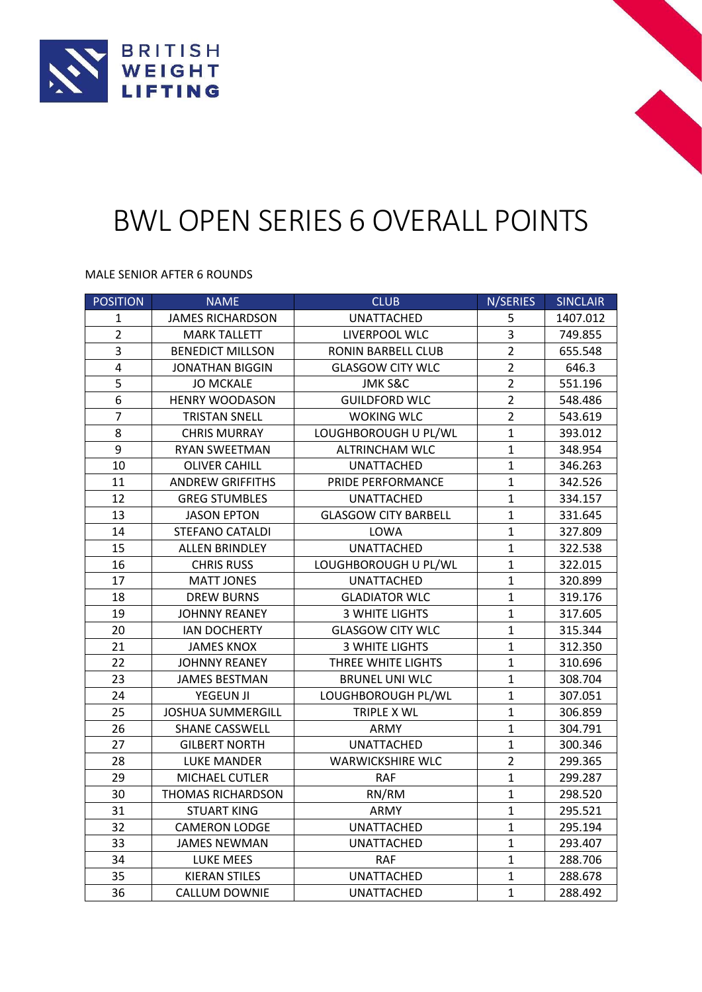

# BWL OPEN SERIES 6 OVERALL POINTS

## MALE SENIOR AFTER 6 ROUNDS

| <b>POSITION</b>         | <b>NAME</b>              | <b>CLUB</b>                 | N/SERIES       | <b>SINCLAIR</b> |
|-------------------------|--------------------------|-----------------------------|----------------|-----------------|
| 1                       | <b>JAMES RICHARDSON</b>  | <b>UNATTACHED</b>           | 5              | 1407.012        |
| $\overline{2}$          | <b>MARK TALLETT</b>      | LIVERPOOL WLC               | 3              | 749.855         |
| 3                       | <b>BENEDICT MILLSON</b>  | RONIN BARBELL CLUB          | $\overline{2}$ | 655.548         |
| $\overline{\mathbf{4}}$ | <b>JONATHAN BIGGIN</b>   | <b>GLASGOW CITY WLC</b>     | $\overline{2}$ | 646.3           |
| 5                       | <b>JO MCKALE</b>         | <b>JMK S&amp;C</b>          | $\overline{2}$ | 551.196         |
| 6                       | <b>HENRY WOODASON</b>    | <b>GUILDFORD WLC</b>        | $\overline{2}$ | 548.486         |
| $\overline{7}$          | <b>TRISTAN SNELL</b>     | <b>WOKING WLC</b>           | $\overline{2}$ | 543.619         |
| 8                       | <b>CHRIS MURRAY</b>      | LOUGHBOROUGH U PL/WL        | $\mathbf{1}$   | 393.012         |
| 9                       | <b>RYAN SWEETMAN</b>     | <b>ALTRINCHAM WLC</b>       | $\mathbf{1}$   | 348.954         |
| 10                      | <b>OLIVER CAHILL</b>     | <b>UNATTACHED</b>           | $\mathbf{1}$   | 346.263         |
| 11                      | <b>ANDREW GRIFFITHS</b>  | PRIDE PERFORMANCE           | $\mathbf{1}$   | 342.526         |
| 12                      | <b>GREG STUMBLES</b>     | <b>UNATTACHED</b>           | $\mathbf{1}$   | 334.157         |
| 13                      | <b>JASON EPTON</b>       | <b>GLASGOW CITY BARBELL</b> | $\mathbf{1}$   | 331.645         |
| 14                      | <b>STEFANO CATALDI</b>   | LOWA                        | $\mathbf{1}$   | 327.809         |
| 15                      | <b>ALLEN BRINDLEY</b>    | <b>UNATTACHED</b>           | $\mathbf 1$    | 322.538         |
| 16                      | <b>CHRIS RUSS</b>        | LOUGHBOROUGH U PL/WL        | $\mathbf{1}$   | 322.015         |
| 17                      | <b>MATT JONES</b>        | <b>UNATTACHED</b>           | $\mathbf{1}$   | 320.899         |
| 18                      | <b>DREW BURNS</b>        | <b>GLADIATOR WLC</b>        | $\mathbf{1}$   | 319.176         |
| 19                      | <b>JOHNNY REANEY</b>     | <b>3 WHITE LIGHTS</b>       | $\mathbf{1}$   | 317.605         |
| 20                      | <b>IAN DOCHERTY</b>      | <b>GLASGOW CITY WLC</b>     | $\mathbf{1}$   | 315.344         |
| 21                      | <b>JAMES KNOX</b>        | <b>3 WHITE LIGHTS</b>       | $\mathbf{1}$   | 312.350         |
| 22                      | <b>JOHNNY REANEY</b>     | THREE WHITE LIGHTS          | $\mathbf{1}$   | 310.696         |
| 23                      | <b>JAMES BESTMAN</b>     | <b>BRUNEL UNI WLC</b>       | $\mathbf{1}$   | 308.704         |
| 24                      | YEGEUN JI                | LOUGHBOROUGH PL/WL          | $\mathbf{1}$   | 307.051         |
| 25                      | <b>JOSHUA SUMMERGILL</b> | TRIPLE X WL                 | $\mathbf{1}$   | 306.859         |
| 26                      | <b>SHANE CASSWELL</b>    | ARMY                        | $\mathbf{1}$   | 304.791         |
| 27                      | <b>GILBERT NORTH</b>     | <b>UNATTACHED</b>           | $\mathbf{1}$   | 300.346         |
| 28                      | <b>LUKE MANDER</b>       | <b>WARWICKSHIRE WLC</b>     | $\overline{2}$ | 299.365         |
| 29                      | MICHAEL CUTLER           | <b>RAF</b>                  | $\mathbf{1}$   | 299.287         |
| 30                      | <b>THOMAS RICHARDSON</b> | RN/RM                       | $\mathbf{1}$   | 298.520         |
| 31                      | <b>STUART KING</b>       | ARMY                        | $\mathbf{1}$   | 295.521         |
| 32                      | <b>CAMERON LODGE</b>     | <b>UNATTACHED</b>           | $\mathbf{1}$   | 295.194         |
| 33                      | <b>JAMES NEWMAN</b>      | <b>UNATTACHED</b>           | $\mathbf{1}$   | 293.407         |
| 34                      | <b>LUKE MEES</b>         | <b>RAF</b>                  | $\mathbf 1$    | 288.706         |
| 35                      | <b>KIERAN STILES</b>     | <b>UNATTACHED</b>           | $\mathbf{1}$   | 288.678         |
| 36                      | <b>CALLUM DOWNIE</b>     | <b>UNATTACHED</b>           | $\mathbf{1}$   | 288.492         |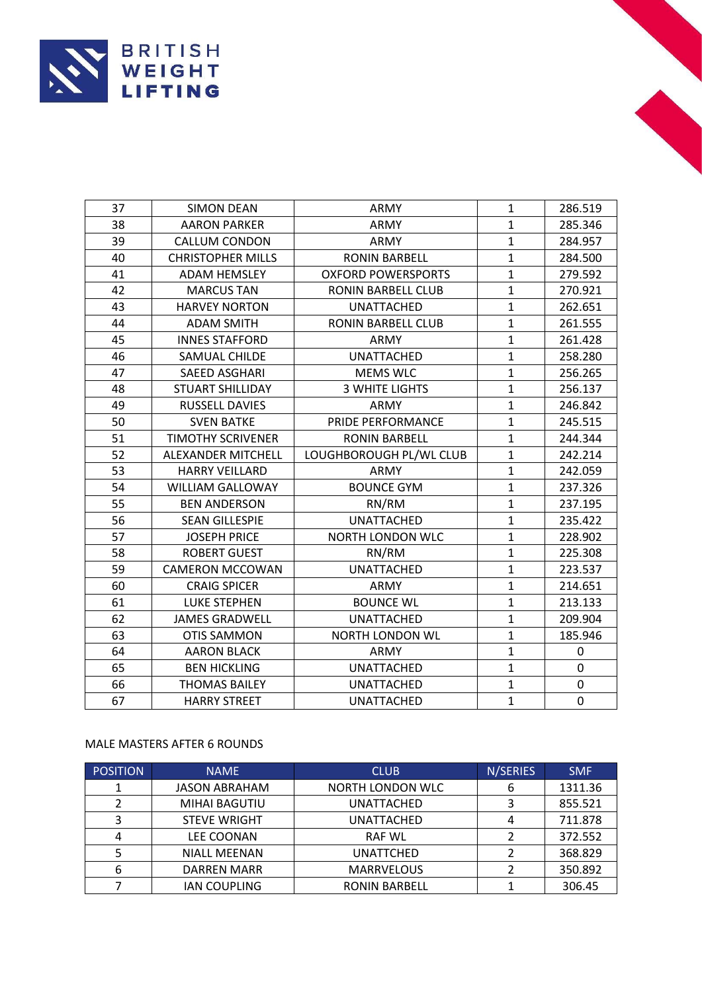

| 37 | <b>SIMON DEAN</b>         | <b>ARMY</b>               | $\mathbf{1}$ | 286.519     |
|----|---------------------------|---------------------------|--------------|-------------|
| 38 | <b>AARON PARKER</b>       | ARMY                      | $\mathbf{1}$ | 285.346     |
| 39 | <b>CALLUM CONDON</b>      | ARMY                      | $\mathbf{1}$ | 284.957     |
| 40 | <b>CHRISTOPHER MILLS</b>  | <b>RONIN BARBELL</b>      | $\mathbf{1}$ | 284.500     |
| 41 | <b>ADAM HEMSLEY</b>       | <b>OXFORD POWERSPORTS</b> | $\mathbf{1}$ | 279.592     |
| 42 | <b>MARCUS TAN</b>         | RONIN BARBELL CLUB        | $\mathbf{1}$ | 270.921     |
| 43 | <b>HARVEY NORTON</b>      | <b>UNATTACHED</b>         | $\mathbf{1}$ | 262.651     |
| 44 | <b>ADAM SMITH</b>         | <b>RONIN BARBELL CLUB</b> | $\mathbf{1}$ | 261.555     |
| 45 | <b>INNES STAFFORD</b>     | ARMY                      | $\mathbf{1}$ | 261.428     |
| 46 | SAMUAL CHILDE             | <b>UNATTACHED</b>         | $\mathbf{1}$ | 258.280     |
| 47 | SAEED ASGHARI             | <b>MEMS WLC</b>           | $\mathbf{1}$ | 256.265     |
| 48 | <b>STUART SHILLIDAY</b>   | <b>3 WHITE LIGHTS</b>     | $\mathbf{1}$ | 256.137     |
| 49 | <b>RUSSELL DAVIES</b>     | ARMY                      | $\mathbf{1}$ | 246.842     |
| 50 | <b>SVEN BATKE</b>         | PRIDE PERFORMANCE         | $\mathbf{1}$ | 245.515     |
| 51 | <b>TIMOTHY SCRIVENER</b>  | <b>RONIN BARBELL</b>      | $\mathbf{1}$ | 244.344     |
| 52 | <b>ALEXANDER MITCHELL</b> | LOUGHBOROUGH PL/WL CLUB   | $\mathbf{1}$ | 242.214     |
| 53 | <b>HARRY VEILLARD</b>     | ARMY                      | $\mathbf{1}$ | 242.059     |
| 54 | <b>WILLIAM GALLOWAY</b>   | <b>BOUNCE GYM</b>         | $\mathbf{1}$ | 237.326     |
| 55 | <b>BEN ANDERSON</b>       | RN/RM                     | $\mathbf{1}$ | 237.195     |
| 56 | <b>SEAN GILLESPIE</b>     | <b>UNATTACHED</b>         | $\mathbf{1}$ | 235.422     |
| 57 | <b>JOSEPH PRICE</b>       | NORTH LONDON WLC          | $\mathbf{1}$ | 228.902     |
| 58 | <b>ROBERT GUEST</b>       | RN/RM                     | $\mathbf{1}$ | 225.308     |
| 59 | <b>CAMERON MCCOWAN</b>    | <b>UNATTACHED</b>         | $\mathbf{1}$ | 223.537     |
| 60 | <b>CRAIG SPICER</b>       | ARMY                      | $\mathbf{1}$ | 214.651     |
| 61 | <b>LUKE STEPHEN</b>       | <b>BOUNCE WL</b>          | $\mathbf{1}$ | 213.133     |
| 62 | <b>JAMES GRADWELL</b>     | <b>UNATTACHED</b>         | $\mathbf{1}$ | 209.904     |
| 63 | <b>OTIS SAMMON</b>        | NORTH LONDON WL           | $\mathbf{1}$ | 185.946     |
| 64 | <b>AARON BLACK</b>        | ARMY                      | $\mathbf{1}$ | 0           |
| 65 | <b>BEN HICKLING</b>       | <b>UNATTACHED</b>         | $\mathbf{1}$ | 0           |
| 66 | <b>THOMAS BAILEY</b>      | <b>UNATTACHED</b>         | $\mathbf{1}$ | 0           |
| 67 | <b>HARRY STREET</b>       | <b>UNATTACHED</b>         | $\mathbf{1}$ | $\mathbf 0$ |

## MALE MASTERS AFTER 6 ROUNDS

| <b>POSITION</b> | <b>NAME</b>          | <b>CLUB</b>          | N/SERIES | <b>SMF</b> |
|-----------------|----------------------|----------------------|----------|------------|
|                 | <b>JASON ABRAHAM</b> | NORTH LONDON WLC     | 6        | 1311.36    |
|                 | MIHAI BAGUTIU        | UNATTACHED           |          | 855.521    |
| 3               | <b>STEVE WRIGHT</b>  | UNATTACHED           |          | 711.878    |
| 4               | LEE COONAN           | <b>RAF WL</b>        |          | 372.552    |
|                 | <b>NIALL MEENAN</b>  | UNATTCHED            |          | 368.829    |
| 6               | <b>DARREN MARR</b>   | <b>MARRVELOUS</b>    |          | 350.892    |
|                 | <b>IAN COUPLING</b>  | <b>RONIN BARBELL</b> |          | 306.45     |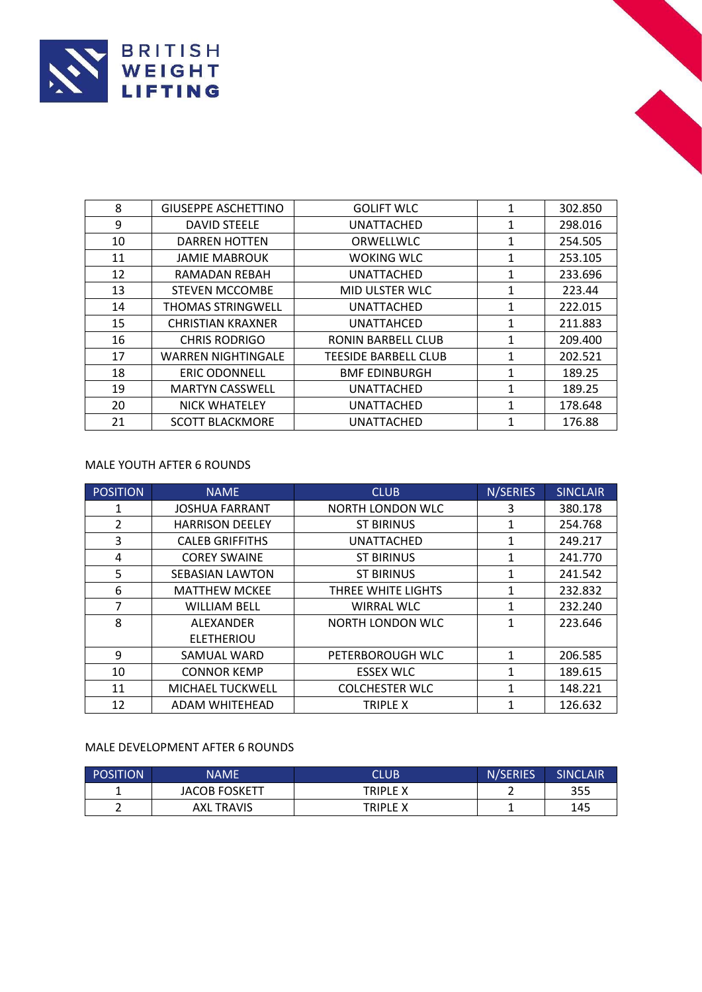

| 8  | <b>GIUSEPPE ASCHETTINO</b> | <b>GOLIFT WLC</b>         | 1 | 302.850 |
|----|----------------------------|---------------------------|---|---------|
| 9  | <b>DAVID STEELE</b>        | <b>UNATTACHED</b>         | 1 | 298.016 |
| 10 | <b>DARREN HOTTEN</b>       | ORWELLWLC                 | 1 | 254.505 |
| 11 | JAMIE MABROUK              | <b>WOKING WLC</b>         | 1 | 253.105 |
| 12 | RAMADAN REBAH              | <b>UNATTACHED</b>         | 1 | 233.696 |
| 13 | <b>STEVEN MCCOMBE</b>      | MID ULSTER WLC            | 1 | 223.44  |
| 14 | <b>THOMAS STRINGWELL</b>   | <b>UNATTACHED</b>         | 1 | 222.015 |
| 15 | <b>CHRISTIAN KRAXNER</b>   | <b>UNATTAHCED</b>         | 1 | 211.883 |
| 16 | <b>CHRIS RODRIGO</b>       | <b>RONIN BARBELL CLUB</b> | 1 | 209.400 |
| 17 | <b>WARREN NIGHTINGALE</b>  | TEESIDE BARBELL CLUB      | 1 | 202.521 |
| 18 | <b>ERIC ODONNELL</b>       | <b>BMF EDINBURGH</b>      | 1 | 189.25  |
| 19 | <b>MARTYN CASSWELL</b>     | UNATTACHED                | 1 | 189.25  |
| 20 | <b>NICK WHATELEY</b>       | UNATTACHED                | 1 | 178.648 |
| 21 | <b>SCOTT BLACKMORE</b>     | UNATTACHED                | 1 | 176.88  |

# MALE YOUTH AFTER 6 ROUNDS

| <b>POSITION</b> | <b>NAME</b>            | <b>CLUB</b>           | N/SERIES | <b>SINCLAIR</b> |
|-----------------|------------------------|-----------------------|----------|-----------------|
| 1               | <b>JOSHUA FARRANT</b>  | NORTH LONDON WLC      | 3        | 380.178         |
| $\overline{2}$  | <b>HARRISON DEELEY</b> | <b>ST BIRINUS</b>     | 1        | 254.768         |
| 3               | <b>CALEB GRIFFITHS</b> | UNATTACHED            | 1        | 249.217         |
| 4               | <b>COREY SWAINE</b>    | <b>ST BIRINUS</b>     | 1        | 241.770         |
| 5               | <b>SEBASIAN LAWTON</b> | <b>ST BIRINUS</b>     | 1        | 241.542         |
| 6               | <b>MATTHEW MCKEE</b>   | THREE WHITE LIGHTS    | 1        | 232.832         |
| 7               | <b>WILLIAM BELL</b>    | <b>WIRRAL WLC</b>     | 1        | 232.240         |
| 8               | <b>ALEXANDER</b>       | NORTH LONDON WLC      | 1        | 223.646         |
|                 | <b>ELETHERIOU</b>      |                       |          |                 |
| 9               | SAMUAL WARD            | PETERBOROUGH WLC      | 1        | 206.585         |
| 10              | <b>CONNOR KEMP</b>     | <b>ESSEX WLC</b>      | 1        | 189.615         |
| 11              | MICHAEL TUCKWELL       | <b>COLCHESTER WLC</b> | 1        | 148.221         |
| 12              | <b>ADAM WHITEHEAD</b>  | <b>TRIPLE X</b>       | 1        | 126.632         |

#### MALE DEVELOPMENT AFTER 6 ROUNDS

| <b>POSITION</b> | <b>NAME</b>          | CLUB     | N/SERIES | <b>SINCLAIR</b> |
|-----------------|----------------------|----------|----------|-----------------|
|                 | <b>JACOB FOSKETT</b> | TRIPLE X |          | 355             |
| ∽<br>-          | <b>AXL TRAVIS</b>    | TRIPLE X | -        | 145             |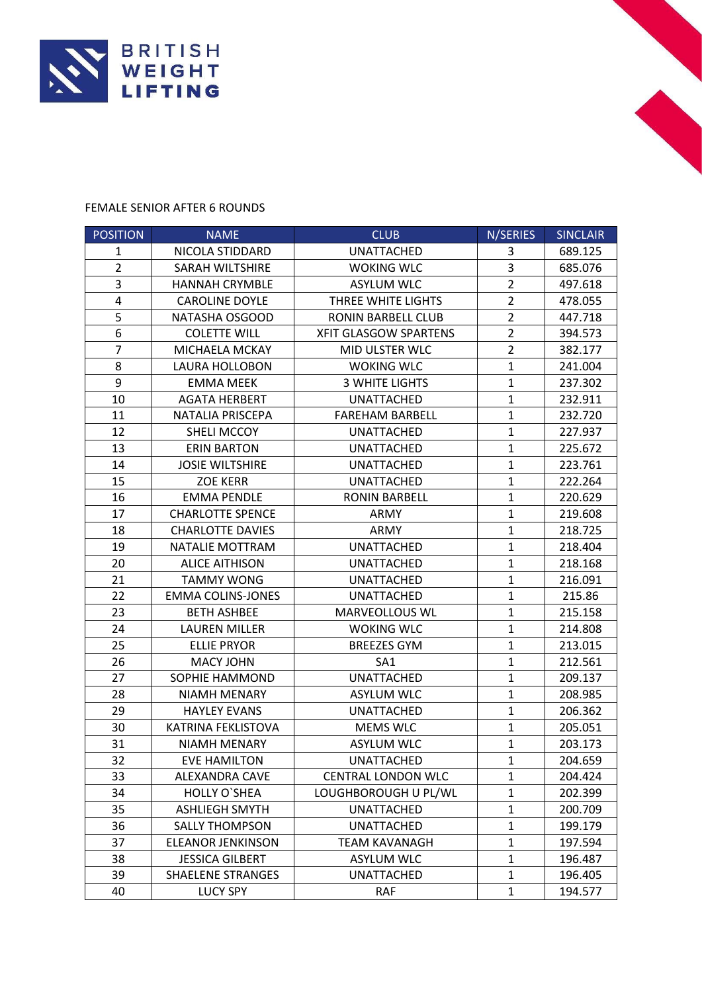

## FEMALE SENIOR AFTER 6 ROUNDS

| <b>POSITION</b>         | <b>NAME</b>              | <b>CLUB</b>               | N/SERIES       | <b>SINCLAIR</b> |
|-------------------------|--------------------------|---------------------------|----------------|-----------------|
| 1                       | NICOLA STIDDARD          | <b>UNATTACHED</b>         | 3              | 689.125         |
| $\overline{2}$          | SARAH WILTSHIRE          | <b>WOKING WLC</b>         | 3              | 685.076         |
| 3                       | <b>HANNAH CRYMBLE</b>    | <b>ASYLUM WLC</b>         | $\overline{2}$ | 497.618         |
| $\overline{\mathbf{4}}$ | <b>CAROLINE DOYLE</b>    | THREE WHITE LIGHTS        | $\overline{2}$ | 478.055         |
| 5                       | NATASHA OSGOOD           | RONIN BARBELL CLUB        | $\overline{2}$ | 447.718         |
| 6                       | <b>COLETTE WILL</b>      | XFIT GLASGOW SPARTENS     | $\overline{2}$ | 394.573         |
| $\overline{7}$          | MICHAELA MCKAY           | MID ULSTER WLC            | $\overline{2}$ | 382.177         |
| 8                       | LAURA HOLLOBON           | <b>WOKING WLC</b>         | $\mathbf{1}$   | 241.004         |
| 9                       | <b>EMMA MEEK</b>         | <b>3 WHITE LIGHTS</b>     | $\mathbf{1}$   | 237.302         |
| 10                      | <b>AGATA HERBERT</b>     | <b>UNATTACHED</b>         | $\mathbf{1}$   | 232.911         |
| 11                      | NATALIA PRISCEPA         | <b>FAREHAM BARBELL</b>    | $\mathbf{1}$   | 232.720         |
| 12                      | SHELI MCCOY              | <b>UNATTACHED</b>         | $\mathbf{1}$   | 227.937         |
| 13                      | <b>ERIN BARTON</b>       | <b>UNATTACHED</b>         | $\mathbf{1}$   | 225.672         |
| 14                      | <b>JOSIE WILTSHIRE</b>   | <b>UNATTACHED</b>         | $\mathbf{1}$   | 223.761         |
| 15                      | <b>ZOE KERR</b>          | <b>UNATTACHED</b>         | $\mathbf{1}$   | 222.264         |
| 16                      | <b>EMMA PENDLE</b>       | <b>RONIN BARBELL</b>      | $\mathbf{1}$   | 220.629         |
| 17                      | <b>CHARLOTTE SPENCE</b>  | ARMY                      | $\mathbf{1}$   | 219.608         |
| 18                      | <b>CHARLOTTE DAVIES</b>  | ARMY                      | $\mathbf{1}$   | 218.725         |
| 19                      | NATALIE MOTTRAM          | <b>UNATTACHED</b>         | $\mathbf{1}$   | 218.404         |
| 20                      | <b>ALICE AITHISON</b>    | <b>UNATTACHED</b>         | $\mathbf{1}$   | 218.168         |
| 21                      | <b>TAMMY WONG</b>        | <b>UNATTACHED</b>         | $\mathbf{1}$   | 216.091         |
| 22                      | <b>EMMA COLINS-JONES</b> | <b>UNATTACHED</b>         | $\mathbf{1}$   | 215.86          |
| 23                      | <b>BETH ASHBEE</b>       | <b>MARVEOLLOUS WL</b>     | $\mathbf{1}$   | 215.158         |
| 24                      | <b>LAUREN MILLER</b>     | <b>WOKING WLC</b>         | $\mathbf{1}$   | 214.808         |
| 25                      | <b>ELLIE PRYOR</b>       | <b>BREEZES GYM</b>        | $\mathbf{1}$   | 213.015         |
| 26                      | <b>MACY JOHN</b>         | SA <sub>1</sub>           | $\mathbf{1}$   | 212.561         |
| 27                      | SOPHIE HAMMOND           | <b>UNATTACHED</b>         | $\mathbf{1}$   | 209.137         |
| 28                      | <b>NIAMH MENARY</b>      | <b>ASYLUM WLC</b>         | $\mathbf{1}$   | 208.985         |
| 29                      | <b>HAYLEY EVANS</b>      | <b>UNATTACHED</b>         | $\mathbf{1}$   | 206.362         |
| 30                      | KATRINA FEKLISTOVA       | <b>MEMS WLC</b>           | $\mathbf{1}$   | 205.051         |
| 31                      | <b>NIAMH MENARY</b>      | <b>ASYLUM WLC</b>         | $\mathbf{1}$   | 203.173         |
| 32                      | <b>EVE HAMILTON</b>      | UNATTACHED                | 1              | 204.659         |
| 33                      | <b>ALEXANDRA CAVE</b>    | <b>CENTRAL LONDON WLC</b> | $\mathbf{1}$   | 204.424         |
| 34                      | <b>HOLLY O'SHEA</b>      | LOUGHBOROUGH U PL/WL      | $\mathbf{1}$   | 202.399         |
| 35                      | <b>ASHLIEGH SMYTH</b>    | UNATTACHED                | $\mathbf{1}$   | 200.709         |
| 36                      | <b>SALLY THOMPSON</b>    | <b>UNATTACHED</b>         | $\mathbf 1$    | 199.179         |
| 37                      | <b>ELEANOR JENKINSON</b> | <b>TEAM KAVANAGH</b>      | $\mathbf{1}$   | 197.594         |
| 38                      | <b>JESSICA GILBERT</b>   | <b>ASYLUM WLC</b>         | $\mathbf{1}$   | 196.487         |
| 39                      | <b>SHAELENE STRANGES</b> | <b>UNATTACHED</b>         | $\mathbf{1}$   | 196.405         |
| 40                      | <b>LUCY SPY</b>          | <b>RAF</b>                | $\mathbf{1}$   | 194.577         |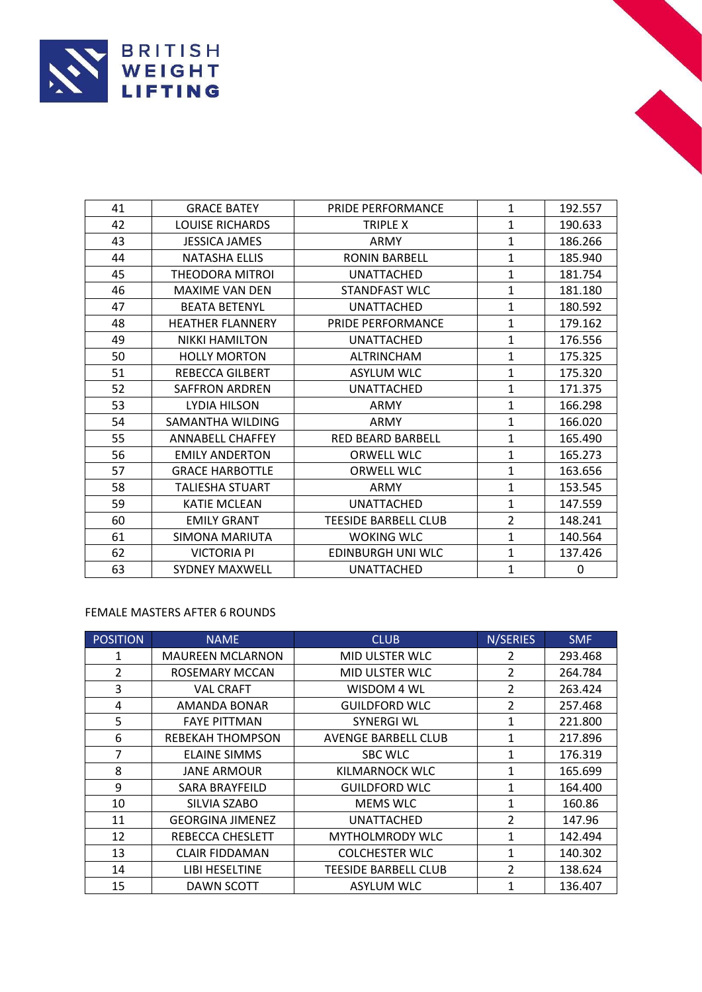

| 41 | <b>GRACE BATEY</b>      | PRIDE PERFORMANCE        | $\mathbf{1}$   | 192.557 |
|----|-------------------------|--------------------------|----------------|---------|
| 42 | <b>LOUISE RICHARDS</b>  | TRIPLE X                 | $\mathbf{1}$   | 190.633 |
| 43 | <b>JESSICA JAMES</b>    | <b>ARMY</b>              | $\mathbf{1}$   | 186.266 |
| 44 | <b>NATASHA ELLIS</b>    | <b>RONIN BARBELL</b>     | $\mathbf{1}$   | 185.940 |
| 45 | THEODORA MITROI         | <b>UNATTACHED</b>        | $\mathbf{1}$   | 181.754 |
| 46 | <b>MAXIME VAN DEN</b>   | <b>STANDFAST WLC</b>     | $\mathbf{1}$   | 181.180 |
| 47 | <b>BEATA BETENYL</b>    | <b>UNATTACHED</b>        | $\mathbf{1}$   | 180.592 |
| 48 | <b>HEATHER FLANNERY</b> | PRIDE PERFORMANCE        | $\mathbf{1}$   | 179.162 |
| 49 | <b>NIKKI HAMILTON</b>   | <b>UNATTACHED</b>        | $\mathbf{1}$   | 176.556 |
| 50 | <b>HOLLY MORTON</b>     | <b>ALTRINCHAM</b>        | $\mathbf{1}$   | 175.325 |
| 51 | <b>REBECCA GILBERT</b>  | <b>ASYLUM WLC</b>        | $\mathbf{1}$   | 175.320 |
| 52 | <b>SAFFRON ARDREN</b>   | <b>UNATTACHED</b>        | $\mathbf{1}$   | 171.375 |
| 53 | LYDIA HILSON            | ARMY                     | $\mathbf{1}$   | 166.298 |
| 54 | SAMANTHA WILDING        | <b>ARMY</b>              | $\mathbf{1}$   | 166.020 |
| 55 | <b>ANNABELL CHAFFEY</b> | <b>RED BEARD BARBELL</b> | $\mathbf{1}$   | 165.490 |
| 56 | <b>EMILY ANDERTON</b>   | <b>ORWELL WLC</b>        | $\mathbf{1}$   | 165.273 |
| 57 | <b>GRACE HARBOTTLE</b>  | ORWELL WLC               | $\mathbf{1}$   | 163.656 |
| 58 | TALIESHA STUART         | ARMY                     | $\mathbf{1}$   | 153.545 |
| 59 | <b>KATIE MCLEAN</b>     | <b>UNATTACHED</b>        | $\mathbf 1$    | 147.559 |
| 60 | <b>EMILY GRANT</b>      | TEESIDE BARBELL CLUB     | $\overline{2}$ | 148.241 |
| 61 | SIMONA MARIUTA          | <b>WOKING WLC</b>        | $\mathbf{1}$   | 140.564 |
| 62 | <b>VICTORIA PI</b>      | EDINBURGH UNI WLC        | $\mathbf{1}$   | 137.426 |
| 63 | <b>SYDNEY MAXWELL</b>   | <b>UNATTACHED</b>        | $\mathbf{1}$   | 0       |

# FEMALE MASTERS AFTER 6 ROUNDS

| <b>POSITION</b> | <b>NAME</b>             | <b>CLUB</b>                | N/SERIES       | <b>SMF</b> |
|-----------------|-------------------------|----------------------------|----------------|------------|
| 1               | <b>MAUREEN MCLARNON</b> | MID ULSTER WLC             | 2              | 293.468    |
| $\overline{2}$  | ROSEMARY MCCAN          | MID ULSTER WLC             | $\overline{2}$ | 264.784    |
| 3               | <b>VAL CRAFT</b>        | WISDOM 4 WL                | $\overline{2}$ | 263.424    |
| 4               | <b>AMANDA BONAR</b>     | <b>GUILDFORD WLC</b>       | $\overline{2}$ | 257.468    |
| 5               | <b>FAYE PITTMAN</b>     | <b>SYNERGI WL</b>          | $\mathbf{1}$   | 221.800    |
| 6               | REBEKAH THOMPSON        | <b>AVENGE BARBELL CLUB</b> | 1              | 217.896    |
| 7               | ELAINE SIMMS            | <b>SBC WLC</b>             | 1              | 176.319    |
| 8               | <b>JANE ARMOUR</b>      | KILMARNOCK WLC             | 1              | 165.699    |
| 9               | <b>SARA BRAYFEILD</b>   | <b>GUILDFORD WLC</b>       | 1              | 164.400    |
| 10              | SILVIA SZABO            | <b>MEMS WLC</b>            | 1              | 160.86     |
| 11              | <b>GEORGINA JIMENEZ</b> | <b>UNATTACHED</b>          | $\overline{2}$ | 147.96     |
| 12              | REBECCA CHESLETT        | <b>MYTHOLMRODY WLC</b>     | 1              | 142.494    |
| 13              | <b>CLAIR FIDDAMAN</b>   | <b>COLCHESTER WLC</b>      | 1              | 140.302    |
| 14              | LIBI HESELTINE          | TEESIDE BARBELL CLUB       | $\overline{2}$ | 138.624    |
| 15              | DAWN SCOTT              | <b>ASYLUM WLC</b>          | 1              | 136.407    |